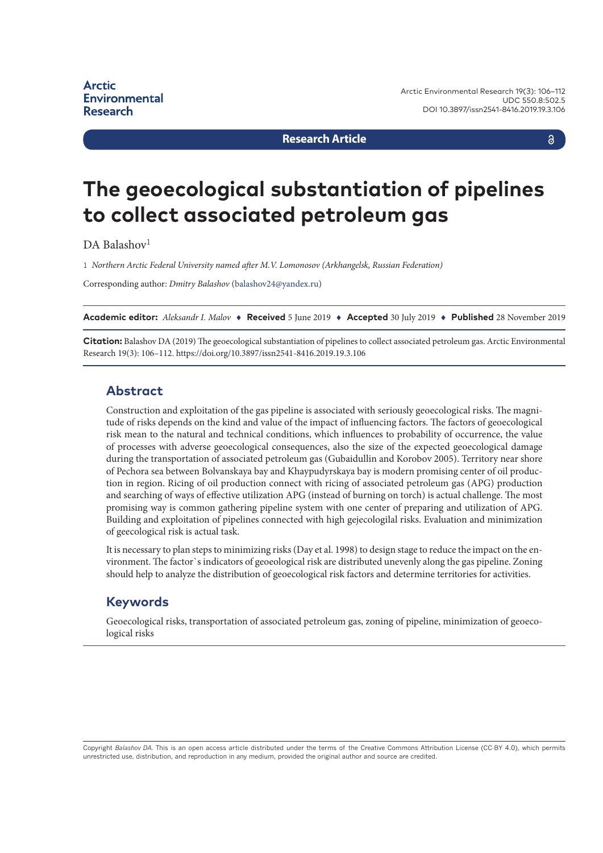**Research Article**

# **The geoecological substantiation of pipelines to collect associated petroleum gas**

DA Balashov<sup>1</sup>

1 *Northern Arctic Federal University named after M.V. Lomonosov (Arkhangelsk, Russian Federation)*

Corresponding author: *Dmitry Balashov* ([balashov24@yandex.ru\)](mailto:balashov24@yandex.ru)

**Academic editor:** *Aleksandr I. Malov* ♦ **Received** 5 June 2019 ♦ **Accepted** 30 July 2019 ♦ **Published** 28 November 2019

**Citation:** Balashov DA (2019) The geoecological substantiation of pipelines to collect associated petroleum gas. Arctic Environmental Research 19(3): 106–112. <https://doi.org/10.3897/issn2541-8416.2019.19.3.106>

#### **Abstract**

Construction and exploitation of the gas pipeline is associated with seriously geoecological risks. The magnitude of risks depends on the kind and value of the impact of influencing factors. The factors of geoecological risk mean to the natural and technical conditions, which influences to probability of occurrence, the value of processes with adverse geoecological consequences, also the size of the expected geoecological damage during the transportation of associated petroleum gas (Gubaidullin and Korobov 2005). Territory near shore of Pechora sea between Bolvanskaya bay and Khaypudyrskaya bay is modern promising center of oil production in region. Ricing of oil production connect with ricing of associated petroleum gas (APG) production and searching of ways of effective utilization APG (instead of burning on torch) is actual challenge. The most promising way is common gathering pipeline system with one center of preparing and utilization of APG. Building and exploitation of pipelines connected with high gejecologilal risks. Evaluation and minimization of geecological risk is actual task.

It is necessary to plan steps to minimizing risks (Day et al. 1998) to design stage to reduce the impact on the environment. The factor`s indicators of geoeological risk are distributed unevenly along the gas pipeline. Zoning should help to analyze the distribution of geoecological risk factors and determine territories for activities.

## **Keywords**

Geoecological risks, transportation of associated petroleum gas, zoning of pipeline, minimization of geoecological risks

Copyright *Balashov DA.* This is an open access article distributed under the terms of the Creative Commons Attribution License (CC-BY 4.0), which permits unrestricted use, distribution, and reproduction in any medium, provided the original author and source are credited.

a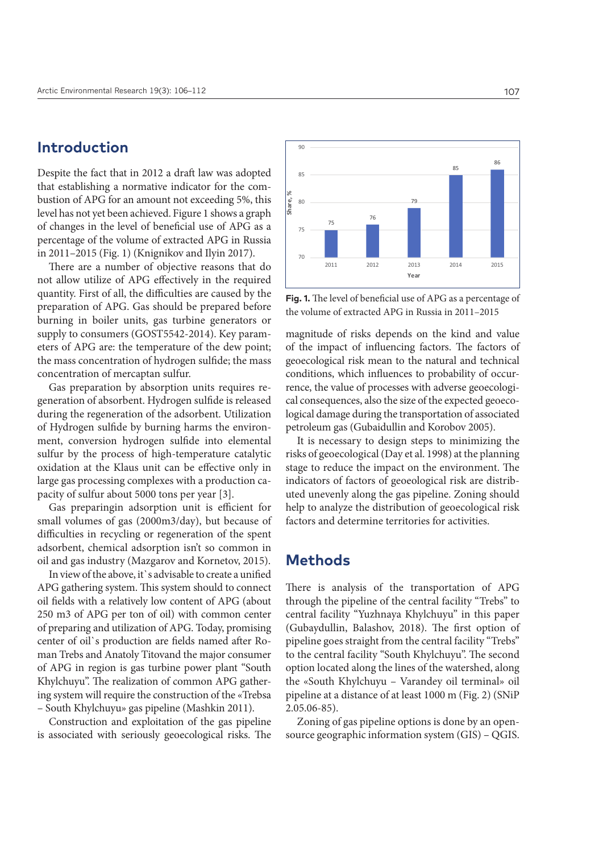## **Introduction**

Despite the fact that in 2012 a draft law was adopted that establishing a normative indicator for the combustion of APG for an amount not exceeding 5%, this level has not yet been achieved. Figure 1 shows a graph of changes in the level of beneficial use of APG as a percentage of the volume of extracted APG in Russia in 2011–2015 (Fig. 1) (Knignikov and Ilyin 2017).

There are a number of objective reasons that do not allow utilize of APG effectively in the required quantity. First of all, the difficulties are caused by the preparation of APG. Gas should be prepared before burning in boiler units, gas turbine generators or supply to consumers (GOST5542-2014). Key parameters of APG are: the temperature of the dew point; the mass concentration of hydrogen sulfide; the mass concentration of mercaptan sulfur.

Gas preparation by absorption units requires regeneration of absorbent. Hydrogen sulfide is released during the regeneration of the adsorbent. Utilization of Hydrogen sulfide by burning harms the environment, conversion hydrogen sulfide into elemental sulfur by the process of high-temperature catalytic oxidation at the Klaus unit can be effective only in large gas processing complexes with a production capacity of sulfur about 5000 tons per year [3].

Gas preparingin adsorption unit is efficient for small volumes of gas (2000m3/day), but because of difficulties in recycling or regeneration of the spent adsorbent, chemical adsorption isn't so common in oil and gas industry (Mazgarov and Kornetov, 2015).

In view of the above, it's advisable to create a unified APG gathering system. This system should to connect oil fields with a relatively low content of APG (about 250 m3 of APG per ton of oil) with common center of preparing and utilization of APG. Today, promising center of oil`s production are fields named after Roman Trebs and Anatoly Titovand the major consumer of APG in region is gas turbine power plant "South Khylchuyu". The realization of common APG gathering system will require the construction of the «Trebsa – South Khylchuyu» gas pipeline (Mashkin 2011).

Construction and exploitation of the gas pipeline is associated with seriously geoecological risks. The



**Fig. 1.** The level of beneficial use of APG as a percentage of the volume of extracted APG in Russia in 2011–2015

magnitude of risks depends on the kind and value of the impact of influencing factors. The factors of geoecological risk mean to the natural and technical conditions, which influences to probability of occurrence, the value of processes with adverse geoecological consequences, also the size of the expected geoecological damage during the transportation of associated petroleum gas (Gubaidullin and Korobov 2005).

It is necessary to design steps to minimizing the risks of geoecological (Day et al. 1998) at the planning stage to reduce the impact on the environment. The indicators of factors of geoeological risk are distributed unevenly along the gas pipeline. Zoning should help to analyze the distribution of geoecological risk factors and determine territories for activities.

## **Methods**

There is analysis of the transportation of APG through the pipeline of the central facility "Trebs" to central facility "Yuzhnaya Khylchuyu" in this paper (Gubaydullin, Balashov, 2018). The first option of pipeline goes straight from the central facility "Trebs" to the central facility "South Khylchuyu". The second option located along the lines of the watershed, along the «South Khylchuyu – Varandey oil terminal» oil pipeline at a distance of at least 1000 m (Fig. 2) (SNiP 2.05.06-85).

Zoning of gas pipeline options is done by an opensource geographic information system (GIS) – QGIS.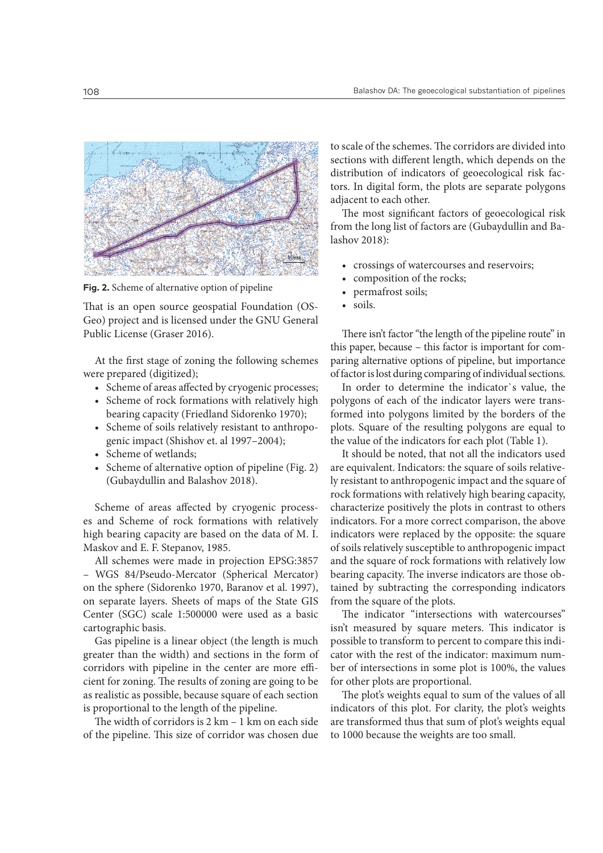

**Fig. 2.** Scheme of alternative option of pipeline

That is an open source geospatial Foundation (OS-Geo) project and is licensed under the GNU General Public License (Graser 2016).

At the first stage of zoning the following schemes were prepared (digitized);

- Scheme of areas affected by cryogenic processes;
- Scheme of rock formations with relatively high bearing capacity (Friedland Sidorenko 1970);
- Scheme of soils relatively resistant to anthropogenic impact (Shishov et. al 1997–2004);
- Scheme of wetlands;
- Scheme of alternative option of pipeline (Fig. 2) (Gubaydullin and Balashov 2018).

Scheme of areas affected by cryogenic processes and Scheme of rock formations with relatively high bearing capacity are based on the data of M. I. Maskov and E. F. Stepanov, 1985.

All schemes were made in projection EPSG:3857 – WGS 84/Pseudo-Mercator (Spherical Mercator) on the sphere (Sidorenko 1970, Baranov et al. 1997), on separate layers. Sheets of maps of the State GIS Center (SGC) scale 1:500000 were used as a basic cartographic basis.

Gas pipeline is a linear object (the length is much greater than the width) and sections in the form of corridors with pipeline in the center are more efficient for zoning. The results of zoning are going to be as realistic as possible, because square of each section is proportional to the length of the pipeline.

The width of corridors is 2 km – 1 km on each side of the pipeline. This size of corridor was chosen due

to scale of the schemes. The corridors are divided into sections with different length, which depends on the distribution of indicators of geoecological risk factors. In digital form, the plots are separate polygons adjacent to each other.

The most significant factors of geoecological risk from the long list of factors are (Gubaydullin and Balashov 2018):

- crossings of watercourses and reservoirs;
- composition of the rocks;
- permafrost soils;
- soils.

There isn't factor "the length of the pipeline route" in this paper, because – this factor is important for comparing alternative options of pipeline, but importance of factor is lost during comparing of individual sections.

In order to determine the indicator`s value, the polygons of each of the indicator layers were transformed into polygons limited by the borders of the plots. Square of the resulting polygons are equal to the value of the indicators for each plot (Table 1).

It should be noted, that not all the indicators used are equivalent. Indicators: the square of soils relatively resistant to anthropogenic impact and the square of rock formations with relatively high bearing capacity, characterize positively the plots in contrast to others indicators. For a more correct comparison, the above indicators were replaced by the opposite: the square of soils relatively susceptible to anthropogenic impact and the square of rock formations with relatively low bearing capacity. The inverse indicators are those obtained by subtracting the corresponding indicators from the square of the plots.

The indicator "intersections with watercourses" isn't measured by square meters. This indicator is possible to transform to percent to compare this indicator with the rest of the indicator: maximum number of intersections in some plot is 100%, the values for other plots are proportional.

The plot's weights equal to sum of the values of all indicators of this plot. For clarity, the plot's weights are transformed thus that sum of plot's weights equal to 1000 because the weights are too small.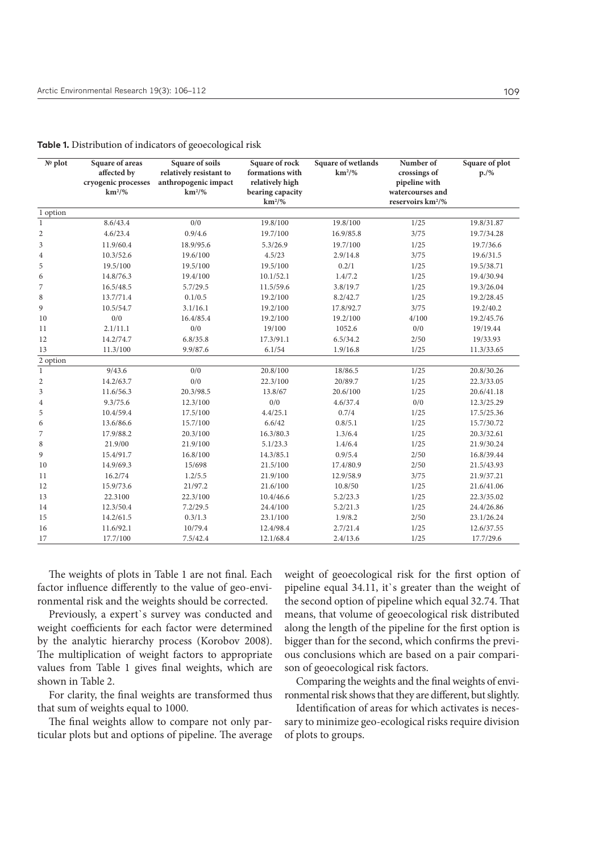| Table 1. Distribution of indicators of geoecological risk |  |  |
|-----------------------------------------------------------|--|--|
|                                                           |  |  |
|                                                           |  |  |

| № plot         | Square of areas<br>affected by<br>cryogenic processes<br>$km^2/$ % | Square of soils<br>relatively resistant to<br>anthropogenic impact<br>$km^2/$ % | Square of rock<br>formations with<br>relatively high<br>bearing capacity<br>$km^2/$ % | Square of wetlands<br>$km^2/$ % | Number of<br>crossings of<br>pipeline with<br>watercourses and<br>reservoirs km <sup>2</sup> /% | Square of plot<br>$p./\%$ |
|----------------|--------------------------------------------------------------------|---------------------------------------------------------------------------------|---------------------------------------------------------------------------------------|---------------------------------|-------------------------------------------------------------------------------------------------|---------------------------|
| 1 option       |                                                                    |                                                                                 |                                                                                       |                                 |                                                                                                 |                           |
| $\mathbf{1}$   | 8.6/43.4                                                           | 0/0                                                                             | 19.8/100                                                                              | 19.8/100                        | 1/25                                                                                            | 19.8/31.87                |
| $\overline{2}$ | 4.6/23.4                                                           | 0.9/4.6                                                                         | 19.7/100                                                                              | 16.9/85.8                       | 3/75                                                                                            | 19.7/34.28                |
| 3              | 11.9/60.4                                                          | 18.9/95.6                                                                       | 5.3/26.9                                                                              | 19.7/100                        | 1/25                                                                                            | 19.7/36.6                 |
| $\overline{4}$ | 10.3/52.6                                                          | 19.6/100                                                                        | 4.5/23                                                                                | 2.9/14.8                        | 3/75                                                                                            | 19.6/31.5                 |
| 5              | 19.5/100                                                           | 19.5/100                                                                        | 19.5/100                                                                              | 0.2/1                           | 1/25                                                                                            | 19.5/38.71                |
| 6              | 14.8/76.3                                                          | 19.4/100                                                                        | 10.1/52.1                                                                             | 1.4/7.2                         | 1/25                                                                                            | 19.4/30.94                |
| 7              | 16.5/48.5                                                          | 5.7/29.5                                                                        | 11.5/59.6                                                                             | 3.8/19.7                        | 1/25                                                                                            | 19.3/26.04                |
| 8              | 13.7/71.4                                                          | 0.1/0.5                                                                         | 19.2/100                                                                              | 8.2/42.7                        | 1/25                                                                                            | 19.2/28.45                |
| 9              | 10.5/54.7                                                          | 3.1/16.1                                                                        | 19.2/100                                                                              | 17.8/92.7                       | 3/75                                                                                            | 19.2/40.2                 |
| 10             | 0/0                                                                | 16.4/85.4                                                                       | 19.2/100                                                                              | 19.2/100                        | 4/100                                                                                           | 19.2/45.76                |
| 11             | 2.1/11.1                                                           | 0/0                                                                             | 19/100                                                                                | 1052.6                          | 0/0                                                                                             | 19/19.44                  |
| 12             | 14.2/74.7                                                          | 6.8/35.8                                                                        | 17.3/91.1                                                                             | 6.5/34.2                        | 2/50                                                                                            | 19/33.93                  |
| 13             | 11.3/100                                                           | 9.9/87.6                                                                        | 6.1/54                                                                                | 1.9/16.8                        | 1/25                                                                                            | 11.3/33.65                |
| 2 option       |                                                                    |                                                                                 |                                                                                       |                                 |                                                                                                 |                           |
| $\mathbf{1}$   | 9/43.6                                                             | 0/0                                                                             | 20.8/100                                                                              | 18/86.5                         | 1/25                                                                                            | 20.8/30.26                |
| $\overline{c}$ | 14.2/63.7                                                          | 0/0                                                                             | 22.3/100                                                                              | 20/89.7                         | 1/25                                                                                            | 22.3/33.05                |
| 3              | 11.6/56.3                                                          | 20.3/98.5                                                                       | 13.8/67                                                                               | 20.6/100                        | 1/25                                                                                            | 20.6/41.18                |
| $\overline{4}$ | 9.3/75.6                                                           | 12.3/100                                                                        | 0/0                                                                                   | 4.6/37.4                        | 0/0                                                                                             | 12.3/25.29                |
| 5              | 10.4/59.4                                                          | 17.5/100                                                                        | 4.4/25.1                                                                              | 0.7/4                           | 1/25                                                                                            | 17.5/25.36                |
| 6              | 13.6/86.6                                                          | 15.7/100                                                                        | 6.6/42                                                                                | 0.8/5.1                         | 1/25                                                                                            | 15.7/30.72                |
| 7              | 17.9/88.2                                                          | 20.3/100                                                                        | 16.3/80.3                                                                             | 1.3/6.4                         | 1/25                                                                                            | 20.3/32.61                |
| 8              | 21.9/00                                                            | 21.9/100                                                                        | 5.1/23.3                                                                              | 1.4/6.4                         | 1/25                                                                                            | 21.9/30.24                |
| 9              | 15.4/91.7                                                          | 16.8/100                                                                        | 14.3/85.1                                                                             | 0.9/5.4                         | 2/50                                                                                            | 16.8/39.44                |
| 10             | 14.9/69.3                                                          | 15/698                                                                          | 21.5/100                                                                              | 17.4/80.9                       | 2/50                                                                                            | 21.5/43.93                |
| 11             | 16.2/74                                                            | 1.2/5.5                                                                         | 21.9/100                                                                              | 12.9/58.9                       | 3/75                                                                                            | 21.9/37.21                |
| 12             | 15.9/73.6                                                          | 21/97.2                                                                         | 21.6/100                                                                              | 10.8/50                         | 1/25                                                                                            | 21.6/41.06                |
| 13             | 22.3100                                                            | 22.3/100                                                                        | 10.4/46.6                                                                             | 5.2/23.3                        | 1/25                                                                                            | 22.3/35.02                |
| 14             | 12.3/50.4                                                          | 7.2/29.5                                                                        | 24.4/100                                                                              | 5.2/21.3                        | 1/25                                                                                            | 24.4/26.86                |
| 15             | 14.2/61.5                                                          | 0.3/1.3                                                                         | 23.1/100                                                                              | 1.9/8.2                         | 2/50                                                                                            | 23.1/26.24                |
| 16             | 11.6/92.1                                                          | 10/79.4                                                                         | 12.4/98.4                                                                             | 2.7/21.4                        | 1/25                                                                                            | 12.6/37.55                |
| 17             | 17.7/100                                                           | 7.5/42.4                                                                        | 12.1/68.4                                                                             | 2.4/13.6                        | 1/25                                                                                            | 17.7/29.6                 |

The weights of plots in Table 1 are not final. Each factor influence differently to the value of geo-environmental risk and the weights should be corrected.

Previously, a expert`s survey was conducted and weight coefficients for each factor were determined by the analytic hierarchy process (Korobov 2008). The multiplication of weight factors to appropriate values from Table 1 gives final weights, which are shown in Table 2.

For clarity, the final weights are transformed thus that sum of weights equal to 1000.

The final weights allow to compare not only particular plots but and options of pipeline. The average weight of geoecological risk for the first option of pipeline equal 34.11, it`s greater than the weight of the second option of pipeline which equal 32.74. That means, that volume of geoecological risk distributed along the length of the pipeline for the first option is bigger than for the second, which confirms the previous conclusions which are based on a pair comparison of geoecological risk factors.

Comparing the weights and the final weights of environmental risk shows that they are different, but slightly.

Identification of areas for which activates is necessary to minimize geo-ecological risks require division of plots to groups.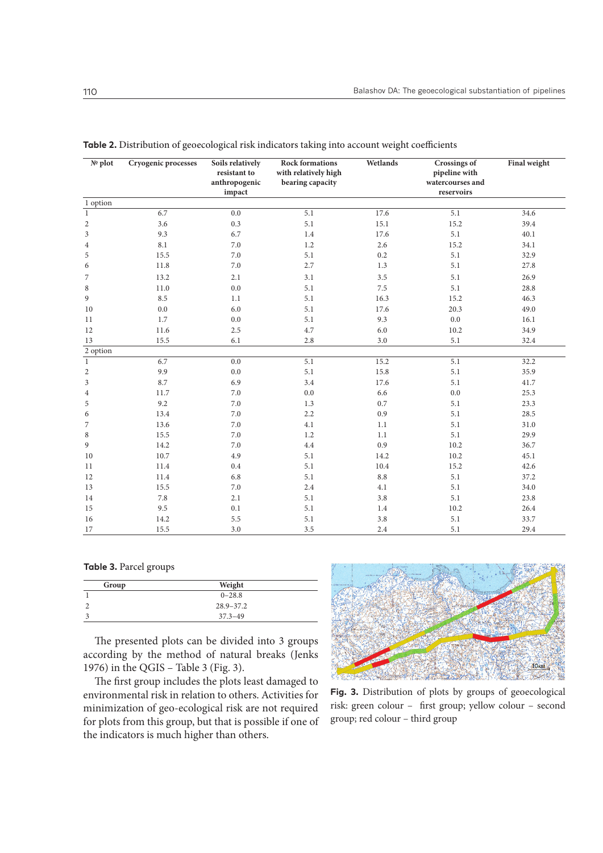| $N0$ plot      | Cryogenic processes | Soils relatively<br>resistant to<br>anthropogenic<br>impact | <b>Rock formations</b><br>with relatively high<br>bearing capacity | Wetlands | <b>Crossings</b> of<br>pipeline with<br>watercourses and<br>reservoirs | Final weight |
|----------------|---------------------|-------------------------------------------------------------|--------------------------------------------------------------------|----------|------------------------------------------------------------------------|--------------|
| 1 option       |                     |                                                             |                                                                    |          |                                                                        |              |
| $\mathbf{1}$   | 6.7                 | 0.0                                                         | 5.1                                                                | 17.6     | 5.1                                                                    | 34.6         |
| $\mathbf{2}$   | 3.6                 | 0.3                                                         | 5.1                                                                | 15.1     | 15.2                                                                   | 39.4         |
| $\mathfrak{Z}$ | 9.3                 | 6.7                                                         | 1.4                                                                | 17.6     | 5.1                                                                    | 40.1         |
| $\overline{4}$ | 8.1                 | 7.0                                                         | 1.2                                                                | 2.6      | 15.2                                                                   | 34.1         |
| 5              | 15.5                | 7.0                                                         | 5.1                                                                | 0.2      | 5.1                                                                    | 32.9         |
| 6              | 11.8                | $7.0\,$                                                     | 2.7                                                                | 1.3      | 5.1                                                                    | 27.8         |
| 7              | 13.2                | 2.1                                                         | 3.1                                                                | 3.5      | 5.1                                                                    | 26.9         |
| 8              | 11.0                | 0.0                                                         | 5.1                                                                | 7.5      | 5.1                                                                    | 28.8         |
| 9              | 8.5                 | 1.1                                                         | 5.1                                                                | 16.3     | 15.2                                                                   | 46.3         |
| 10             | $0.0\,$             | 6.0                                                         | 5.1                                                                | 17.6     | 20.3                                                                   | 49.0         |
| 11             | 1.7                 | 0.0                                                         | 5.1                                                                | 9.3      | 0.0                                                                    | 16.1         |
| 12             | 11.6                | 2.5                                                         | 4.7                                                                | 6.0      | 10.2                                                                   | 34.9         |
| 13             | 15.5                | 6.1                                                         | 2.8                                                                | 3.0      | 5.1                                                                    | 32.4         |
| 2 option       |                     |                                                             |                                                                    |          |                                                                        |              |
| $\mathbf{1}$   | 6.7                 | 0.0                                                         | 5.1                                                                | 15.2     | 5.1                                                                    | 32.2         |
| $\overline{c}$ | 9.9                 | 0.0                                                         | 5.1                                                                | 15.8     | 5.1                                                                    | 35.9         |
| 3              | 8.7                 | 6.9                                                         | 3.4                                                                | 17.6     | 5.1                                                                    | 41.7         |
| $\overline{4}$ | 11.7                | 7.0                                                         | 0.0                                                                | 6.6      | 0.0                                                                    | 25.3         |
| 5              | 9.2                 | 7.0                                                         | 1.3                                                                | 0.7      | 5.1                                                                    | 23.3         |
| 6              | 13.4                | 7.0                                                         | 2.2                                                                | 0.9      | 5.1                                                                    | 28.5         |
| 7              | 13.6                | 7.0                                                         | 4.1                                                                | 1.1      | 5.1                                                                    | 31.0         |
| 8              | 15.5                | 7.0                                                         | 1.2                                                                | 1.1      | 5.1                                                                    | 29.9         |
| 9              | 14.2                | 7.0                                                         | 4.4                                                                | 0.9      | 10.2                                                                   | 36.7         |
| 10             | 10.7                | 4.9                                                         | 5.1                                                                | 14.2     | 10.2                                                                   | 45.1         |
| 11             | 11.4                | 0.4                                                         | 5.1                                                                | 10.4     | 15.2                                                                   | 42.6         |
| 12             | 11.4                | 6.8                                                         | 5.1                                                                | 8.8      | 5.1                                                                    | 37.2         |
| 13             | 15.5                | 7.0                                                         | 2.4                                                                | 4.1      | 5.1                                                                    | 34.0         |
| 14             | 7.8                 | 2.1                                                         | 5.1                                                                | 3.8      | 5.1                                                                    | 23.8         |
| 15             | 9.5                 | 0.1                                                         | 5.1                                                                | 1.4      | 10.2                                                                   | 26.4         |
| 16             | 14.2                | 5.5                                                         | 5.1                                                                | 3.8      | 5.1                                                                    | 33.7         |
| 17             | 15.5                | 3.0                                                         | 3.5                                                                | 2.4      | 5.1                                                                    | 29.4         |

**Table 2.** Distribution of geoecological risk indicators taking into account weight coefficients

#### **Table 3.** Parcel groups

| Group | Weight        |  |
|-------|---------------|--|
|       | $0 - 28.8$    |  |
|       | $28.9 - 37.2$ |  |
|       | $37.3 - 49$   |  |

The presented plots can be divided into 3 groups according by the method of natural breaks (Jenks 1976) in the QGIS – Table 3 (Fig. 3).

The first group includes the plots least damaged to environmental risk in relation to others. Activities for minimization of geo-ecological risk are not required for plots from this group, but that is possible if one of the indicators is much higher than others.



**Fig. 3.** Distribution of plots by groups of geoecological risk: green colour – first group; yellow colour – second group; red colour – third group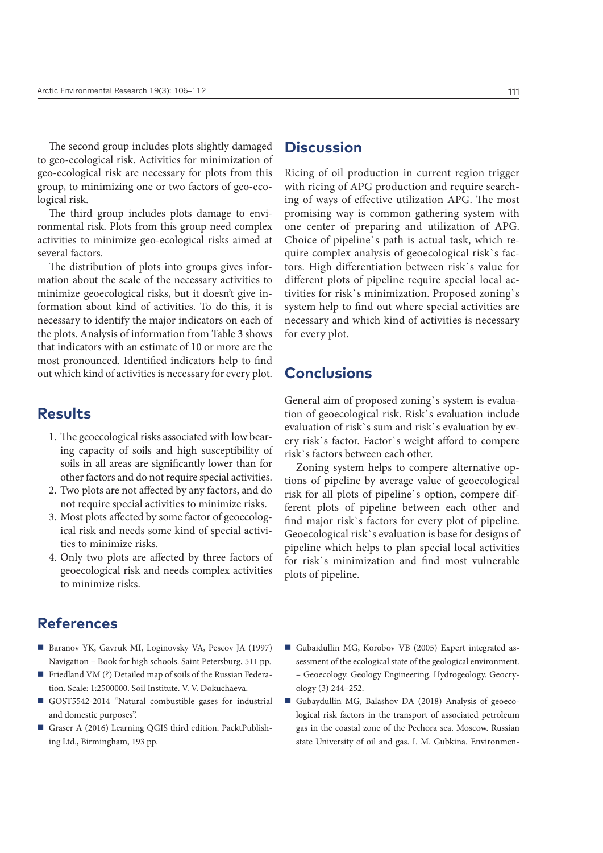The second group includes plots slightly damaged to geo-ecological risk. Activities for minimization of geo-ecological risk are necessary for plots from this group, to minimizing one or two factors of geo-ecological risk.

The third group includes plots damage to environmental risk. Plots from this group need complex activities to minimize geo-ecological risks aimed at several factors.

The distribution of plots into groups gives information about the scale of the necessary activities to minimize geoecological risks, but it doesn't give information about kind of activities. To do this, it is necessary to identify the major indicators on each of the plots. Analysis of information from Table 3 shows that indicators with an estimate of 10 or more are the most pronounced. Identified indicators help to find out which kind of activities is necessary for every plot.

## **Results**

- 1. The geoecological risks associated with low bearing capacity of soils and high susceptibility of soils in all areas are significantly lower than for other factors and do not require special activities.
- 2. Two plots are not affected by any factors, and do not require special activities to minimize risks.
- 3. Most plots affected by some factor of geoecological risk and needs some kind of special activities to minimize risks.
- 4. Only two plots are affected by three factors of geoecological risk and needs complex activities to minimize risks.

# **References**

- Baranov YK, Gavruk MI, Loginovsky VA, Pescov JA (1997) Navigation – Book for high schools. Saint Petersburg, 511 pp.
- Friedland VM (?) Detailed map of soils of the Russian Federation. Scale: 1:2500000. Soil Institute. V. V. Dokuchaeva.
- GOST5542-2014 "Natural combustible gases for industrial and domestic purposes".
- Graser A (2016) Learning QGIS third edition. PacktPublishing Ltd., Birmingham, 193 pp.

## **Discussion**

Ricing of oil production in current region trigger with ricing of APG production and require searching of ways of effective utilization APG. The most promising way is common gathering system with one center of preparing and utilization of APG. Choice of pipeline`s path is actual task, which require complex analysis of geoecological risk`s factors. High differentiation between risk`s value for different plots of pipeline require special local activities for risk`s minimization. Proposed zoning`s system help to find out where special activities are necessary and which kind of activities is necessary for every plot.

## **Conclusions**

General aim of proposed zoning`s system is evaluation of geoecological risk. Risk`s evaluation include evaluation of risk`s sum and risk`s evaluation by every risk`s factor. Factor`s weight afford to compere risk`s factors between each other.

Zoning system helps to compere alternative options of pipeline by average value of geoecological risk for all plots of pipeline`s option, compere different plots of pipeline between each other and find major risk`s factors for every plot of pipeline. Geoecological risk`s evaluation is base for designs of pipeline which helps to plan special local activities for risk`s minimization and find most vulnerable plots of pipeline.

- Gubaidullin MG, Korobov VB (2005) Expert integrated assessment of the ecological state of the geological environment. – Geoecology. Geology Engineering. Hydrogeology. Geocryology (3) 244–252.
- Gubaydullin MG, Balashov DA (2018) Analysis of geoecological risk factors in the transport of associated petroleum gas in the coastal zone of the Pechora sea. Moscow. Russian state University of oil and gas. I. M. Gubkina. Environmen-